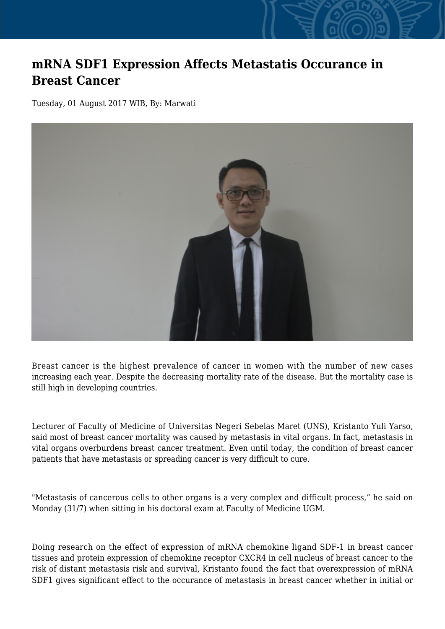## **mRNA SDF1 Expression Affects Metastatis Occurance in Breast Cancer**

Tuesday, 01 August 2017 WIB, By: Marwati



Breast cancer is the highest prevalence of cancer in women with the number of new cases increasing each year. Despite the decreasing mortality rate of the disease. But the mortality case is still high in developing countries.

Lecturer of Faculty of Medicine of Universitas Negeri Sebelas Maret (UNS), Kristanto Yuli Yarso, said most of breast cancer mortality was caused by metastasis in vital organs. In fact, metastasis in vital organs overburdens breast cancer treatment. Even until today, the condition of breast cancer patients that have metastasis or spreading cancer is very difficult to cure.

"Metastasis of cancerous cells to other organs is a very complex and difficult process," he said on Monday (31/7) when sitting in his doctoral exam at Faculty of Medicine UGM.

Doing research on the effect of expression of mRNA chemokine ligand SDF-1 in breast cancer tissues and protein expression of chemokine receptor CXCR4 in cell nucleus of breast cancer to the risk of distant metastasis risk and survival, Kristanto found the fact that overexpression of mRNA SDF1 gives significant effect to the occurance of metastasis in breast cancer whether in initial or